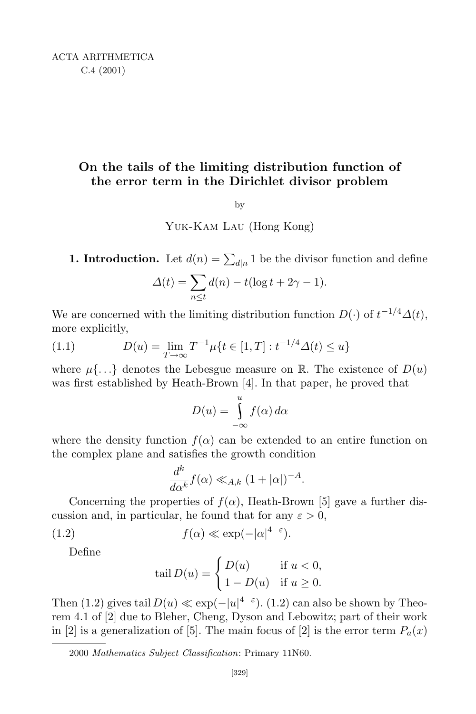## **On the tails of the limiting distribution function of the error term in the Dirichlet divisor problem**

## by

Yuk-Kam Lau (Hong Kong)

**1. Introduction.** Let  $d(n) = \sum_{d|n} 1$  be the divisor function and define

$$
\Delta(t) = \sum_{n \le t} d(n) - t(\log t + 2\gamma - 1).
$$

We are concerned with the limiting distribution function  $D(\cdot)$  of  $t^{-1/4}\Delta(t)$ , more explicitly,

(1.1) 
$$
D(u) = \lim_{T \to \infty} T^{-1} \mu \{ t \in [1, T] : t^{-1/4} \Delta(t) \le u \}
$$

where  $\mu\{\ldots\}$  denotes the Lebesgue measure on R. The existence of  $D(u)$ was first established by Heath-Brown [4]. In that paper, he proved that

$$
D(u) = \int_{-\infty}^{u} f(\alpha) d\alpha
$$

where the density function  $f(\alpha)$  can be extended to an entire function on the complex plane and satisfies the growth condition

$$
\frac{d^k}{d\alpha^k} f(\alpha) \ll_{A,k} (1+|\alpha|)^{-A}.
$$

Concerning the properties of  $f(\alpha)$ , Heath-Brown [5] gave a further discussion and, in particular, he found that for any  $\varepsilon > 0$ ,

(1.2) 
$$
f(\alpha) \ll \exp(-|\alpha|^{4-\varepsilon}).
$$

Define

$$
tail D(u) = \begin{cases} D(u) & \text{if } u < 0, \\ 1 - D(u) & \text{if } u \ge 0. \end{cases}
$$

Then (1.2) gives tail  $D(u) \ll \exp(-|u|^{4-\varepsilon})$ . (1.2) can also be shown by Theorem 4.1 of [2] due to Bleher, Cheng, Dyson and Lebowitz; part of their work in [2] is a generalization of [5]. The main focus of [2] is the error term  $P_a(x)$ 

<sup>2000</sup> *Mathematics Subject Classification*: Primary 11N60.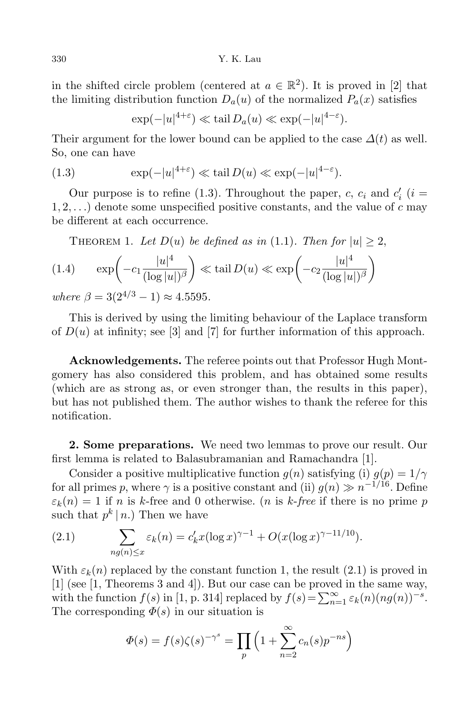in the shifted circle problem (centered at  $a \in \mathbb{R}^2$ ). It is proved in [2] that the limiting distribution function  $D_a(u)$  of the normalized  $P_a(x)$  satisfies

 $\exp(-|u|^{4+\epsilon}) \ll \tanh D_a(u) \ll \exp(-|u|^{4-\epsilon}).$ 

Their argument for the lower bound can be applied to the case  $\Delta(t)$  as well. So, one can have

(1.3) 
$$
\exp(-|u|^{4+\varepsilon}) \ll \tanh(D(u) \ll \exp(-|u|^{4-\varepsilon}).
$$

Our purpose is to refine (1.3). Throughout the paper, *c*,  $c_i$  and  $c'_i$  (*i* =  $1, 2, \ldots$ ) denote some unspecified positive constants, and the value of  $c$  may be different at each occurrence.

THEOREM 1. Let 
$$
D(u)
$$
 be defined as in (1.1). Then for  $|u| \ge 2$ ,  
(1.4)  $\exp\left(-c_1 \frac{|u|^4}{(\log |u|)^{\beta}}\right) \ll \tanh D(u) \ll \exp\left(-c_2 \frac{|u|^4}{(\log |u|)^{\beta}}\right)$ 

 $where \beta = 3(2^{4/3} - 1) \approx 4.5595.$ 

This is derived by using the limiting behaviour of the Laplace transform of  $D(u)$  at infinity; see [3] and [7] for further information of this approach.

**Acknowledgements.** The referee points out that Professor Hugh Montgomery has also considered this problem, and has obtained some results (which are as strong as, or even stronger than, the results in this paper), but has not published them. The author wishes to thank the referee for this notification.

**2. Some preparations.** We need two lemmas to prove our result. Our first lemma is related to Balasubramanian and Ramachandra [1].

Consider a positive multiplicative function  $g(n)$  satisfying (i)  $g(p) = 1/\gamma$ for all primes *p*, where  $\gamma$  is a positive constant and (ii)  $g(n) \gg n^{-1/16}$ . Define  $\varepsilon_k(n) = 1$  if *n* is *k*-free and 0 otherwise. (*n* is *k*-free if there is no prime *p* such that  $p^k | n$ .) Then we have

(2.1) 
$$
\sum_{ng(n)\leq x} \varepsilon_k(n) = c'_k x (\log x)^{\gamma-1} + O(x (\log x)^{\gamma-11/10}).
$$

With  $\varepsilon_k(n)$  replaced by the constant function 1, the result  $(2.1)$  is proved in [1] (see [1, Theorems 3 and 4]). But our case can be proved in the same way, with the function  $f(s)$  in [1, p. 314] replaced by  $f(s) = \sum_{n=1}^{\infty} \varepsilon_k(n) (n g(n))^{-s}$ . The corresponding  $\Phi(s)$  in our situation is

$$
\Phi(s) = f(s)\zeta(s)^{-\gamma^s} = \prod_p \left(1 + \sum_{n=2}^{\infty} c_n(s)p^{-ns}\right)
$$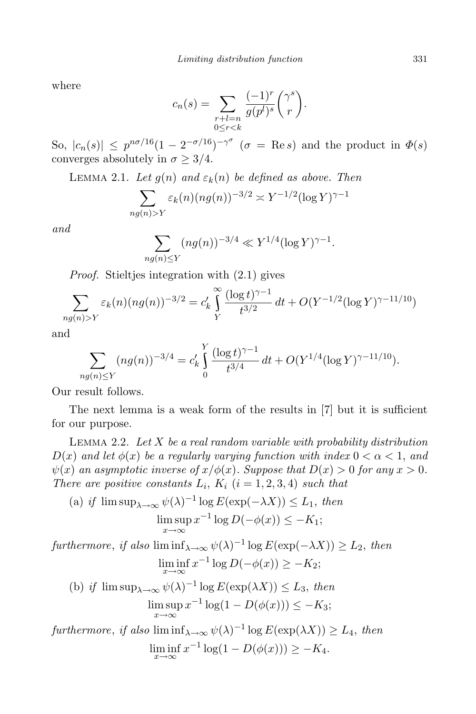where

$$
c_n(s) = \sum_{\substack{r+l=n\\0 \le r < k}} \frac{(-1)^r}{g(p^l)^s} \binom{\gamma^s}{r}.
$$

So,  $|c_n(s)| \leq p^{n\sigma/16}(1 - 2^{-\sigma/16})^{-\gamma^{\sigma}}$  ( $\sigma = \text{Re } s$ ) and the product in  $\Phi(s)$ converges absolutely in  $\sigma \geq 3/4$ .

LEMMA 2.1. Let  $g(n)$  and  $\varepsilon_k(n)$  be defined as above. Then

$$
\sum_{n g(n) > Y} \varepsilon_k(n) (n g(n))^{-3/2} \asymp Y^{-1/2} (\log Y)^{\gamma - 1}
$$

*and*

$$
\sum_{ng(n)\leq Y} (ng(n))^{-3/4} \ll Y^{1/4} (\log Y)^{\gamma - 1}.
$$

*Proof.* Stieltjes integration with  $(2.1)$  gives

$$
\sum_{ng(n)>Y} \varepsilon_k(n) (ng(n))^{-3/2} = c'_k \int_Y^{\infty} \frac{(\log t)^{\gamma-1}}{t^{3/2}} dt + O(Y^{-1/2} (\log Y)^{\gamma-11/10})
$$

and

$$
\sum_{ng(n)\leq Y} (ng(n))^{-3/4} = c'_k \int_0^Y \frac{(\log t)^{\gamma-1}}{t^{3/4}} dt + O(Y^{1/4} (\log Y)^{\gamma-11/10}).
$$

Our result follows.

The next lemma is a weak form of the results in [7] but it is sufficient for our purpose.

Lemma 2.2. *Let X be a real random variable with probability distribution*  $D(x)$  *and let*  $\phi(x)$  *be a regularly varying function with index*  $0 < \alpha < 1$ *, and*  $\psi(x)$  *an asymptotic inverse of*  $x/\phi(x)$ *. Suppose that*  $D(x) > 0$  *for any*  $x > 0$ *. There are positive constants*  $L_i$ ,  $K_i$  ( $i = 1, 2, 3, 4$ ) *such that* 

(a) if 
$$
\limsup_{\lambda \to \infty} \psi(\lambda)^{-1} \log E(\exp(-\lambda X)) \le L_1
$$
, then  
\n
$$
\limsup_{x \to \infty} x^{-1} \log D(-\phi(x)) \le -K_1;
$$

 $furthermore, if also$   $\liminf_{\lambda \to \infty} \psi(\lambda)^{-1} \log E(\exp(-\lambda X)) \ge L_2$ , *then* lim inf *x→∞*  $x^{-1} \log D(-\phi(x)) \geq -K_2;$ (b) *if*  $\limsup_{\lambda \to \infty} \psi(\lambda)^{-1} \log E(\exp(\lambda X)) \leq L_3$ , *then* lim sup  $x^{-1}$  log(1 − *D*( $\phi(x)$ )) ≤ − *K*<sub>3</sub>; *x→∞*  $furthermore, if also$   $\liminf_{\lambda \to \infty} \psi(\lambda)^{-1} \log E(\exp(\lambda X)) \ge L_4$ , *then* lim inf *x→∞*  $x^{-1}\log(1-D(\phi(x))) \geq -K_4.$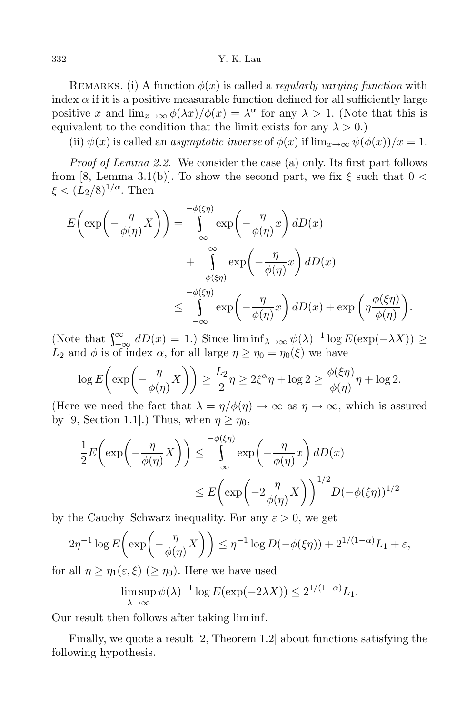## 332 Y. K. Lau

REMARKS. (i) A function  $\phi(x)$  is called a *regularly varying function* with index  $\alpha$  if it is a positive measurable function defined for all sufficiently large positive *x* and  $\lim_{x\to\infty} \phi(\lambda x)/\phi(x) = \lambda^{\alpha}$  for any  $\lambda > 1$ . (Note that this is equivalent to the condition that the limit exists for any  $\lambda > 0$ .)

(ii)  $\psi(x)$  is called an *asymptotic inverse* of  $\phi(x)$  if  $\lim_{x\to\infty} \psi(\phi(x))/x = 1$ .

*Proof of Lemma 2.2.* We consider the case (a) only. Its first part follows from [8, Lemma 3.1(b)]. To show the second part, we fix  $\xi$  such that  $0 <$  $\xi < (L_2/8)^{1/\alpha}$ . Then

$$
E\left(\exp\left(-\frac{\eta}{\phi(\eta)}X\right)\right) = \int_{-\infty}^{-\phi(\xi\eta)} \exp\left(-\frac{\eta}{\phi(\eta)}x\right) dD(x)
$$
  
+ 
$$
\int_{-\phi(\xi\eta)}^{\infty} \exp\left(-\frac{\eta}{\phi(\eta)}x\right) dD(x)
$$
  

$$
\leq \int_{-\infty}^{-\phi(\xi\eta)} \exp\left(-\frac{\eta}{\phi(\eta)}x\right) dD(x) + \exp\left(\eta \frac{\phi(\xi\eta)}{\phi(\eta)}\right).
$$

 $\left(\text{Note that } \int_{-\infty}^{\infty} dD(x) = 1. \right)$  Since  $\liminf_{\lambda \to \infty} \psi(\lambda)^{-1} \log E(\exp(-\lambda X)) \ge$ *L*<sub>2</sub> and *φ* is of index *α*, for all large  $η \geq η_0 = η_0(ξ)$  we have

$$
\log E\left(\exp\left(-\frac{\eta}{\phi(\eta)}X\right)\right) \ge \frac{L_2}{2}\eta \ge 2\xi^{\alpha}\eta + \log 2 \ge \frac{\phi(\xi\eta)}{\phi(\eta)}\eta + \log 2.
$$

(Here we need the fact that  $\lambda = \eta/\phi(\eta) \rightarrow \infty$  as  $\eta \rightarrow \infty$ , which is assured by [9, Section 1.1].) Thus, when  $\eta \geq \eta_0$ ,

$$
\frac{1}{2}E\left(\exp\left(-\frac{\eta}{\phi(\eta)}X\right)\right) \le \int_{-\infty}^{-\phi(\xi\eta)} \exp\left(-\frac{\eta}{\phi(\eta)}x\right) dD(x)
$$

$$
\le E\left(\exp\left(-2\frac{\eta}{\phi(\eta)}X\right)\right)^{1/2} D(-\phi(\xi\eta))^{1/2}
$$

by the Cauchy–Schwarz inequality. For any  $\varepsilon > 0$ , we get

$$
2\eta^{-1}\log E\left(\exp\left(-\frac{\eta}{\phi(\eta)}X\right)\right) \leq \eta^{-1}\log D(-\phi(\xi\eta)) + 2^{1/(1-\alpha)}L_1 + \varepsilon,
$$

for all  $\eta \geq \eta_1(\varepsilon, \xi)$  ( $\geq \eta_0$ ). Here we have used

$$
\limsup_{\lambda \to \infty} \psi(\lambda)^{-1} \log E(\exp(-2\lambda X)) \le 2^{1/(1-\alpha)} L_1.
$$

Our result then follows after taking lim inf.

Finally, we quote a result [2, Theorem 1.2] about functions satisfying the following hypothesis.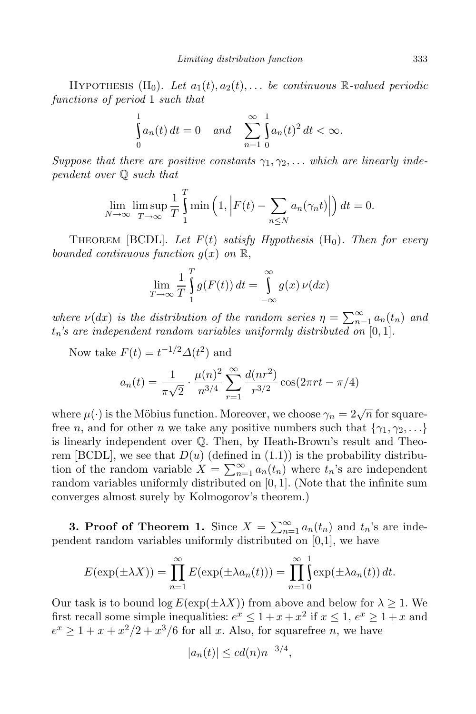HYPOTHESIS  $(H_0)$ . Let  $a_1(t), a_2(t), \ldots$  be continuous R-valued periodic *functions of period* 1 *such that*

$$
\int_{0}^{1} a_n(t) dt = 0 \quad and \quad \sum_{n=1}^{\infty} \int_{0}^{1} a_n(t)^2 dt < \infty.
$$

*Suppose that there are positive constants*  $\gamma_1, \gamma_2, \ldots$  *which are linearly independent over* Q *such that*

$$
\lim_{N \to \infty} \limsup_{T \to \infty} \frac{1}{T} \int_{1}^{T} \min \left( 1, \left| F(t) - \sum_{n \le N} a_n(\gamma_n t) \right| \right) dt = 0.
$$

THEOREM [BCDL]. Let  $F(t)$  satisfy Hypothesis  $(H_0)$ . Then for every *bounded continuous function*  $g(x)$  *on*  $\mathbb{R}$ ,

$$
\lim_{T \to \infty} \frac{1}{T} \int_{1}^{T} g(F(t)) dt = \int_{-\infty}^{\infty} g(x) \nu(dx)
$$

*where*  $\nu(dx)$  *is the distribution of the random series*  $\eta = \sum_{n=1}^{\infty} a_n(t_n)$  *and tn's are independent random variables uniformly distributed on* [0*,* 1]*.*

Now take  $F(t) = t^{-1/2} \Delta(t^2)$  and

$$
a_n(t) = \frac{1}{\pi\sqrt{2}} \cdot \frac{\mu(n)^2}{n^{3/4}} \sum_{r=1}^{\infty} \frac{d(nr^2)}{r^{3/2}} \cos(2\pi rt - \pi/4)
$$

where  $\mu(\cdot)$  is the Möbius function. Moreover, we choose  $\gamma_n = 2\sqrt{n}$  for squarefree *n*, and for other *n* we take any positive numbers such that  $\{\gamma_1, \gamma_2, \ldots\}$ is linearly independent over Q. Then, by Heath-Brown's result and Theorem [BCDL], we see that  $D(u)$  (defined in  $(1.1)$ ) is the probability distribution of the random variable  $X = \sum_{n=1}^{\infty} a_n(t_n)$  where  $t_n$ 's are independent random variables uniformly distributed on [0*,* 1]. (Note that the infinite sum converges almost surely by Kolmogorov's theorem.)

**3. Proof** of Theorem 1. Since  $X = \sum_{n=1}^{\infty} a_n(t_n)$  and  $t_n$ 's are independent random variables uniformly distributed on [0,1], we have

$$
E(\exp(\pm\lambda X)) = \prod_{n=1}^{\infty} E(\exp(\pm\lambda a_n(t))) = \prod_{n=1}^{\infty} \int_{0}^{1} \exp(\pm\lambda a_n(t)) dt.
$$

Our task is to bound  $\log E(\exp(\pm \lambda X))$  from above and below for  $\lambda \geq 1$ . We first recall some simple inequalities:  $e^x \leq 1 + x + x^2$  if  $x \leq 1$ ,  $e^x \geq 1 + x$  and  $e^x \geq 1 + x + x^2/2 + x^3/6$  for all *x*. Also, for squarefree *n*, we have

$$
|a_n(t)| \leq c d(n) n^{-3/4},
$$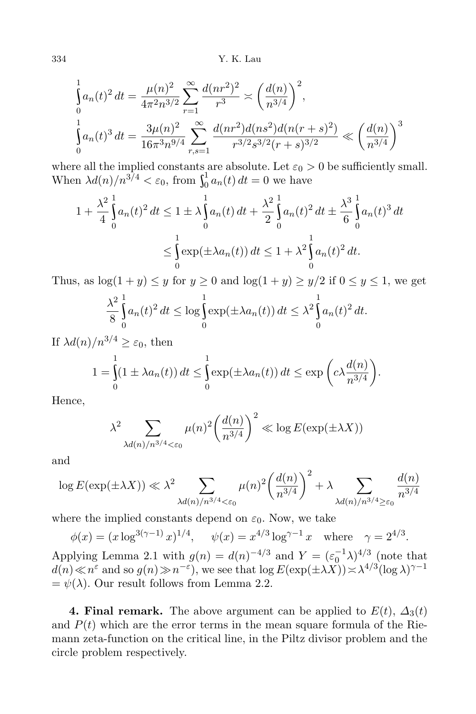334 Y. K. Lau

$$
\int_{0}^{1} a_n(t)^2 dt = \frac{\mu(n)^2}{4\pi^2 n^{3/2}} \sum_{r=1}^{\infty} \frac{d(nr^2)^2}{r^3} \approx \left(\frac{d(n)}{n^{3/4}}\right)^2,
$$
\n
$$
\int_{0}^{1} a_n(t)^3 dt = \frac{3\mu(n)^2}{16\pi^3 n^{9/4}} \sum_{r,s=1}^{\infty} \frac{d(nr^2)d(ns^2)d(n(r+s)^2)}{r^{3/2}s^{3/2}(r+s)^{3/2}} \ll \left(\frac{d(n)}{n^{3/4}}\right)^3
$$

where all the implied constants are absolute. Let  $\varepsilon_0 > 0$  be sufficiently small. When  $\lambda d(n)/n^{3/4} < \varepsilon_0$ , from  $\int_0^1 a_n(t)$  $\int_0^1 a_n(t) dt = 0$  we have

$$
1 + \frac{\lambda^2}{4} \int_0^1 a_n(t)^2 dt \le 1 \pm \lambda \int_0^1 a_n(t) dt + \frac{\lambda^2}{2} \int_0^1 a_n(t)^2 dt \pm \frac{\lambda^3}{6} \int_0^1 a_n(t)^3 dt
$$
  

$$
\le \int_0^1 \exp(\pm \lambda a_n(t)) dt \le 1 + \lambda^2 \int_0^1 a_n(t)^2 dt.
$$

Thus, as  $\log(1 + y) \leq y$  for  $y \geq 0$  and  $\log(1 + y) \geq y/2$  if  $0 \leq y \leq 1$ , we get

$$
\frac{\lambda^2}{8} \int_0^1 a_n(t)^2 dt \le \log \int_0^1 \exp(\pm \lambda a_n(t)) dt \le \lambda^2 \int_0^1 a_n(t)^2 dt.
$$

If  $\lambda d(n)/n^{3/4} \geq \varepsilon_0$ , then 1

$$
1 = \int_{0}^{1} (1 \pm \lambda a_n(t)) dt \leq \int_{0}^{1} \exp(\pm \lambda a_n(t)) dt \leq \exp\left(c\lambda \frac{d(n)}{n^{3/4}}\right).
$$

Hence,

$$
\lambda^2 \sum_{\lambda d(n)/n^{3/4} < \varepsilon_0} \mu(n)^2 \left(\frac{d(n)}{n^{3/4}}\right)^2 \ll \log E(\exp(\pm \lambda X))
$$

and

$$
\log E(\exp(\pm \lambda X)) \ll \lambda^2 \sum_{\lambda d(n)/n^{3/4} < \varepsilon_0} \mu(n)^2 \left(\frac{d(n)}{n^{3/4}}\right)^2 + \lambda \sum_{\lambda d(n)/n^{3/4} \ge \varepsilon_0} \frac{d(n)}{n^{3/4}}
$$

where the implied constants depend on  $\varepsilon_0$ . Now, we take

 $\phi(x) = (x \log^{3(\gamma - 1)} x)^{1/4}, \quad \psi(x) = x^{4/3} \log^{\gamma - 1} x \quad \text{where} \quad \gamma = 2^{4/3}.$ 

Applying Lemma 2.1 with  $g(n) = d(n)^{-4/3}$  and  $Y = (\varepsilon_0^{-1} \lambda)^{4/3}$  (note that  $d(n) \ll n^{\varepsilon}$  and so  $g(n) \gg n^{-\varepsilon}$ , we see that  $\log E(\exp(\pm \lambda X)) \asymp \lambda^{4/3} (\log \lambda)^{\gamma - 1}$  $=\psi(\lambda)$ . Our result follows from Lemma 2.2.

**4. Final remark.** The above argument can be applied to  $E(t)$ ,  $\Delta_3(t)$ and  $P(t)$  which are the error terms in the mean square formula of the Riemann zeta-function on the critical line, in the Piltz divisor problem and the circle problem respectively.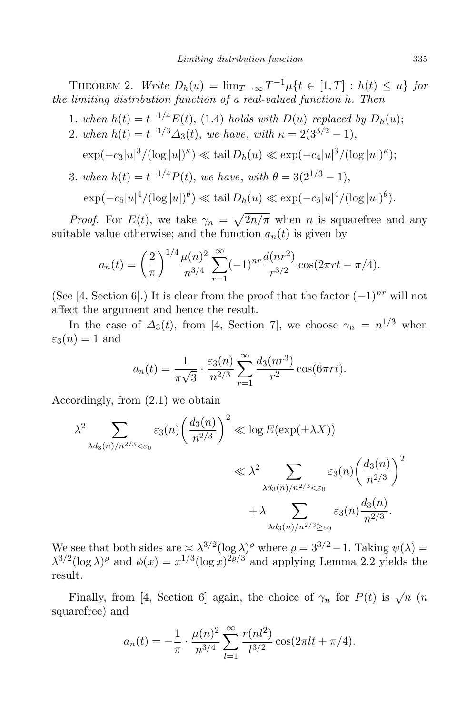THEOREM 2. *Write*  $D_h(u) = \lim_{T \to \infty} T^{-1} \mu\{t \in [1, T] : h(t) \leq u\}$  for *the limiting distribution function of a real-valued function h. Then*

- 1*. when*  $h(t) = t^{-1/4}E(t)$ , (1.4) *holds with*  $D(u)$  *replaced by*  $D_h(u)$ ;
- 2*. when*  $h(t) = t^{-1/3} \Delta_3(t)$ , *we have*, *with*  $\kappa = 2(3^{3/2} 1)$ ,

$$
\exp(-c_3|u|^3/(\log|u|)^{\kappa}) \ll \tanh(D_h(u) \ll \exp(-c_4|u|^3/(\log|u|)^{\kappa});
$$

3*. when*  $h(t) = t^{-1/4}P(t)$ , *we have*, *with*  $\theta = 3(2^{1/3} - 1)$ ,  $\exp(-c_5|u|^4/(\log|u|)^{\theta}) \ll \tanh(D_h(u) \ll \exp(-c_6|u|^4/(\log|u|)^{\theta}).$ 

*Proof.* For  $E(t)$ , we take  $\gamma_n = \sqrt{\frac{2n}{\pi}}$  when *n* is squarefree and any suitable value otherwise; and the function  $a_n(t)$  is given by

$$
a_n(t) = \left(\frac{2}{\pi}\right)^{1/4} \frac{\mu(n)^2}{n^{3/4}} \sum_{r=1}^{\infty} (-1)^{nr} \frac{d(nr^2)}{r^{3/2}} \cos(2\pi rt - \pi/4).
$$

(See [4, Section 6].) It is clear from the proof that the factor (*−*1)*nr* will not affect the argument and hence the result.

In the case of  $\Delta_3(t)$ , from [4, Section 7], we choose  $\gamma_n = n^{1/3}$  when  $\varepsilon_3(n) = 1$  and

$$
a_n(t) = \frac{1}{\pi\sqrt{3}} \cdot \frac{\varepsilon_3(n)}{n^{2/3}} \sum_{r=1}^{\infty} \frac{d_3(nr^3)}{r^2} \cos(6\pi rt).
$$

Accordingly, from (2.1) we obtain

$$
\lambda^2 \sum_{\lambda d_3(n)/n^{2/3} < \varepsilon_0} \varepsilon_3(n) \left(\frac{d_3(n)}{n^{2/3}}\right)^2 \ll \log E(\exp(\pm \lambda X))
$$
  

$$
\ll \lambda^2 \sum_{\lambda d_3(n)/n^{2/3} < \varepsilon_0} \varepsilon_3(n) \left(\frac{d_3(n)}{n^{2/3}}\right)^2
$$
  

$$
+ \lambda \sum_{\lambda d_3(n)/n^{2/3} \ge \varepsilon_0} \varepsilon_3(n) \frac{d_3(n)}{n^{2/3}}.
$$

We see that both sides are  $\geq \lambda^{3/2} (\log \lambda)^{\varrho}$  where  $\varrho = 3^{3/2} - 1$ . Taking  $\psi(\lambda) =$  $\lambda^{3/2}(\log \lambda)^{\varrho}$  and  $\phi(x) = x^{1/3}(\log x)^{2\varrho/3}$  and applying Lemma 2.2 yields the result.

Finally, from [4, Section 6] again, the choice of  $\gamma_n$  for  $P(t)$  is  $\sqrt{n}$  (*n*) squarefree) and

$$
a_n(t) = -\frac{1}{\pi} \cdot \frac{\mu(n)^2}{n^{3/4}} \sum_{l=1}^{\infty} \frac{r(n l^2)}{l^{3/2}} \cos(2\pi l t + \pi/4).
$$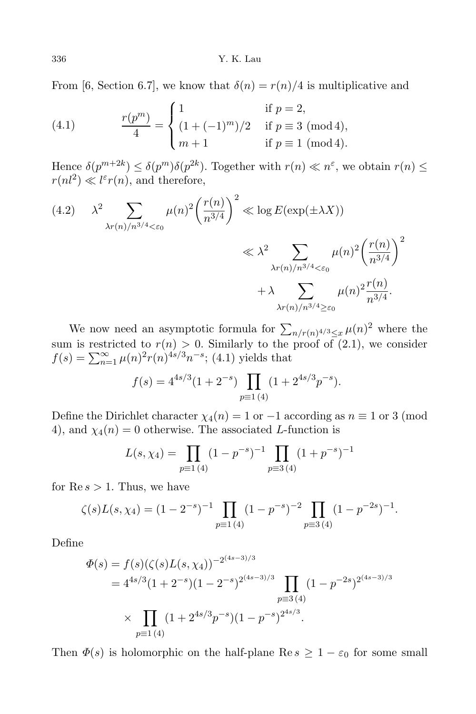From [6, Section 6.7], we know that  $\delta(n) = r(n)/4$  is multiplicative and

(4.1) 
$$
\frac{r(p^m)}{4} = \begin{cases} 1 & \text{if } p = 2, \\ (1 + (-1)^m)/2 & \text{if } p \equiv 3 \pmod{4}, \\ m+1 & \text{if } p \equiv 1 \pmod{4}. \end{cases}
$$

Hence  $\delta(p^{m+2k}) \leq \delta(p^m)\delta(p^{2k})$ . Together with  $r(n) \ll n^{\varepsilon}$ , we obtain  $r(n) \leq$  $r(nl^2) \ll l^{\varepsilon} r(n)$ , and therefore,

$$
(4.2) \qquad \lambda^2 \sum_{\lambda r(n)/n^{3/4} < \varepsilon_0} \mu(n)^2 \left(\frac{r(n)}{n^{3/4}}\right)^2 \ll \log E(\exp(\pm \lambda X))
$$
\n
$$
\ll \lambda^2 \sum_{\lambda r(n)/n^{3/4} < \varepsilon_0} \mu(n)^2 \left(\frac{r(n)}{n^{3/4}}\right)^2
$$
\n
$$
+ \lambda \sum_{\lambda r(n)/n^{3/4} \ge \varepsilon_0} \mu(n)^2 \frac{r(n)}{n^{3/4}}.
$$

We now need an asymptotic formula for  $\sum_{n/r} (n)^{4/3} \leq x \mu(n)^2$  where the sum is restricted to  $r(n) > 0$ . Similarly to the proof of (2.1), we consider  $f(s) = \sum_{n=1}^{\infty} \mu(n)^2 r(n)^{4s/3} n^{-s}$ ; (4.1) yields that

$$
f(s) = 4^{4s/3} (1 + 2^{-s}) \prod_{p \equiv 1 \ (4)} (1 + 2^{4s/3} p^{-s}).
$$

Define the Dirichlet character  $\chi_4(n) = 1$  or  $-1$  according as  $n \equiv 1$  or 3 (mod 4), and  $\chi_4(n) = 0$  otherwise. The associated *L*-function is

$$
L(s, \chi_4) = \prod_{p \equiv 1 \, (4)} (1 - p^{-s})^{-1} \prod_{p \equiv 3 \, (4)} (1 + p^{-s})^{-1}
$$

for  $\text{Re } s > 1$ . Thus, we have

$$
\zeta(s)L(s,\chi_4) = (1-2^{-s})^{-1} \prod_{p\equiv 1\,(4)} (1-p^{-s})^{-2} \prod_{p\equiv 3\,(4)} (1-p^{-2s})^{-1}.
$$

Define

$$
\Phi(s) = f(s)(\zeta(s)L(s,\chi_4))^{-2^{(4s-3)/3}}
$$
  
=  $4^{4s/3}(1+2^{-s})(1-2^{-s})^{2^{(4s-3)/3}}$ 
$$
\prod_{p\equiv 3 \ (4)} (1-p^{-2s})^{2^{(4s-3)/3}}
$$
  

$$
\times \prod_{p\equiv 1 \ (4)} (1+2^{4s/3}p^{-s})(1-p^{-s})^{2^{4s/3}}.
$$

Then  $\Phi(s)$  is holomorphic on the half-plane Re  $s \geq 1 - \varepsilon_0$  for some small